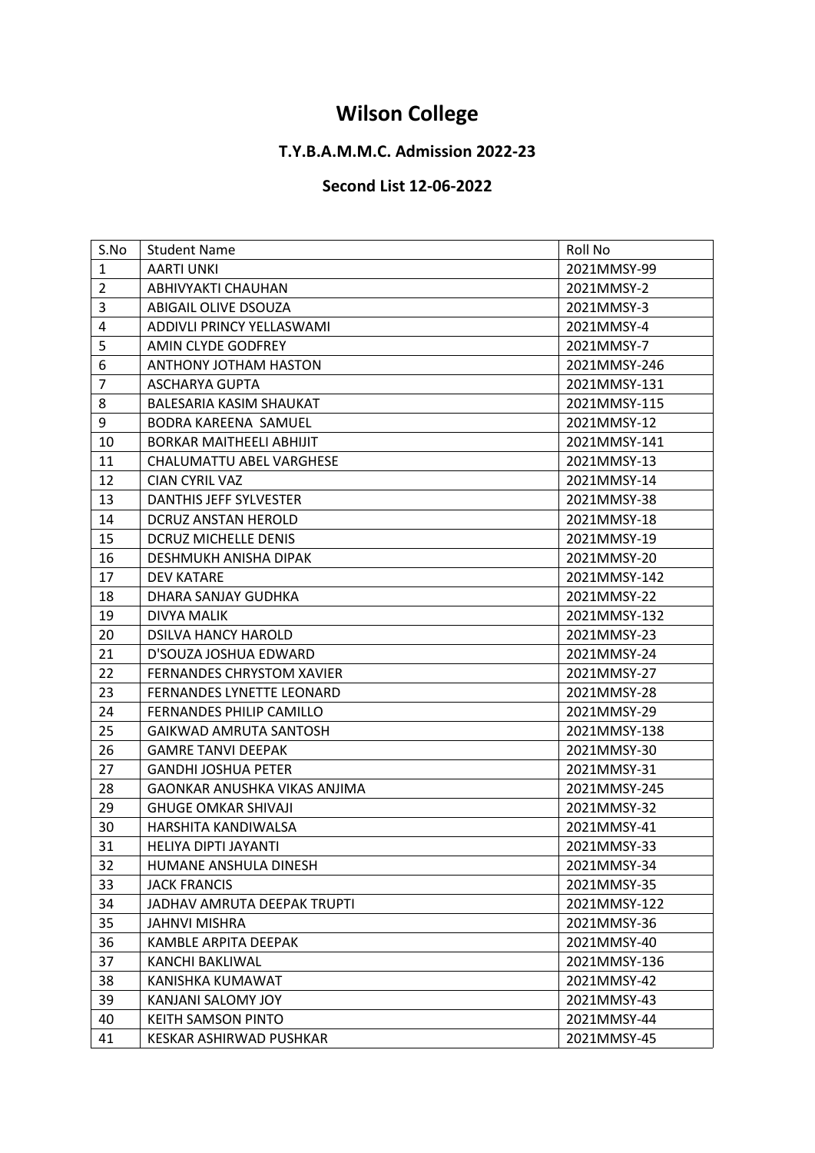## **Wilson College**

## **T.Y.B.A.M.M.C. Admission 2022-23**

## **Second List 12-06-2022**

| S.No<br>Roll No<br><b>Student Name</b><br>$\mathbf{1}$<br><b>AARTI UNKI</b><br>2021MMSY-99<br>$\overline{2}$<br>ABHIVYAKTI CHAUHAN<br>2021MMSY-2<br>3<br>ABIGAIL OLIVE DSOUZA<br>2021MMSY-3<br>$\pmb{4}$<br>ADDIVLI PRINCY YELLASWAMI<br>2021MMSY-4<br>5<br>AMIN CLYDE GODFREY<br>2021MMSY-7<br>6<br>ANTHONY JOTHAM HASTON<br>2021MMSY-246<br>$\overline{7}$<br>ASCHARYA GUPTA<br>2021MMSY-131 |
|------------------------------------------------------------------------------------------------------------------------------------------------------------------------------------------------------------------------------------------------------------------------------------------------------------------------------------------------------------------------------------------------|
|                                                                                                                                                                                                                                                                                                                                                                                                |
|                                                                                                                                                                                                                                                                                                                                                                                                |
|                                                                                                                                                                                                                                                                                                                                                                                                |
|                                                                                                                                                                                                                                                                                                                                                                                                |
|                                                                                                                                                                                                                                                                                                                                                                                                |
|                                                                                                                                                                                                                                                                                                                                                                                                |
|                                                                                                                                                                                                                                                                                                                                                                                                |
|                                                                                                                                                                                                                                                                                                                                                                                                |
| $\,8\,$<br>BALESARIA KASIM SHAUKAT<br>2021MMSY-115                                                                                                                                                                                                                                                                                                                                             |
| 9<br>2021MMSY-12<br><b>BODRA KAREENA SAMUEL</b>                                                                                                                                                                                                                                                                                                                                                |
| 10<br><b>BORKAR MAITHEELI ABHIJIT</b><br>2021MMSY-141                                                                                                                                                                                                                                                                                                                                          |
| 11<br>CHALUMATTU ABEL VARGHESE<br>2021MMSY-13                                                                                                                                                                                                                                                                                                                                                  |
| 12<br>CIAN CYRIL VAZ<br>2021MMSY-14                                                                                                                                                                                                                                                                                                                                                            |
| 13<br>DANTHIS JEFF SYLVESTER<br>2021MMSY-38                                                                                                                                                                                                                                                                                                                                                    |
| 14<br>DCRUZ ANSTAN HEROLD<br>2021MMSY-18                                                                                                                                                                                                                                                                                                                                                       |
| 15<br><b>DCRUZ MICHELLE DENIS</b><br>2021MMSY-19                                                                                                                                                                                                                                                                                                                                               |
| 16<br>DESHMUKH ANISHA DIPAK<br>2021MMSY-20                                                                                                                                                                                                                                                                                                                                                     |
| 17<br>2021MMSY-142<br>DEV KATARE                                                                                                                                                                                                                                                                                                                                                               |
| 18<br>DHARA SANJAY GUDHKA<br>2021MMSY-22                                                                                                                                                                                                                                                                                                                                                       |
| 19<br>2021MMSY-132<br>DIVYA MALIK                                                                                                                                                                                                                                                                                                                                                              |
| 20<br><b>DSILVA HANCY HAROLD</b><br>2021MMSY-23                                                                                                                                                                                                                                                                                                                                                |
| 21<br>D'SOUZA JOSHUA EDWARD<br>2021MMSY-24                                                                                                                                                                                                                                                                                                                                                     |
| 22<br><b>FERNANDES CHRYSTOM XAVIER</b><br>2021MMSY-27                                                                                                                                                                                                                                                                                                                                          |
| 23<br><b>FERNANDES LYNETTE LEONARD</b><br>2021MMSY-28                                                                                                                                                                                                                                                                                                                                          |
| 24<br><b>FERNANDES PHILIP CAMILLO</b><br>2021MMSY-29                                                                                                                                                                                                                                                                                                                                           |
| 25<br>GAIKWAD AMRUTA SANTOSH<br>2021MMSY-138                                                                                                                                                                                                                                                                                                                                                   |
| 26<br><b>GAMRE TANVI DEEPAK</b><br>2021MMSY-30                                                                                                                                                                                                                                                                                                                                                 |
| 27<br><b>GANDHI JOSHUA PETER</b><br>2021MMSY-31                                                                                                                                                                                                                                                                                                                                                |
| 28<br>GAONKAR ANUSHKA VIKAS ANJIMA<br>2021MMSY-245                                                                                                                                                                                                                                                                                                                                             |
| 29<br>2021MMSY-32<br><b>GHUGE OMKAR SHIVAJI</b>                                                                                                                                                                                                                                                                                                                                                |
| 30<br><b>HARSHITA KANDIWALSA</b><br>2021MMSY-41                                                                                                                                                                                                                                                                                                                                                |
| 31<br>2021MMSY-33<br>HELIYA DIPTI JAYANTI                                                                                                                                                                                                                                                                                                                                                      |
| 32<br>2021MMSY-34<br>HUMANE ANSHULA DINESH                                                                                                                                                                                                                                                                                                                                                     |
| 33<br><b>JACK FRANCIS</b><br>2021MMSY-35                                                                                                                                                                                                                                                                                                                                                       |
| 34<br>2021MMSY-122<br>JADHAV AMRUTA DEEPAK TRUPTI                                                                                                                                                                                                                                                                                                                                              |
| 35<br><b>JAHNVI MISHRA</b><br>2021MMSY-36                                                                                                                                                                                                                                                                                                                                                      |
| 36<br>KAMBLE ARPITA DEEPAK<br>2021MMSY-40                                                                                                                                                                                                                                                                                                                                                      |
| 37<br>2021MMSY-136<br>KANCHI BAKLIWAL                                                                                                                                                                                                                                                                                                                                                          |
| 38<br>KANISHKA KUMAWAT<br>2021MMSY-42                                                                                                                                                                                                                                                                                                                                                          |
| 39<br>KANJANI SALOMY JOY<br>2021MMSY-43                                                                                                                                                                                                                                                                                                                                                        |
| 40<br>KEITH SAMSON PINTO<br>2021MMSY-44                                                                                                                                                                                                                                                                                                                                                        |
| 41<br>KESKAR ASHIRWAD PUSHKAR<br>2021MMSY-45                                                                                                                                                                                                                                                                                                                                                   |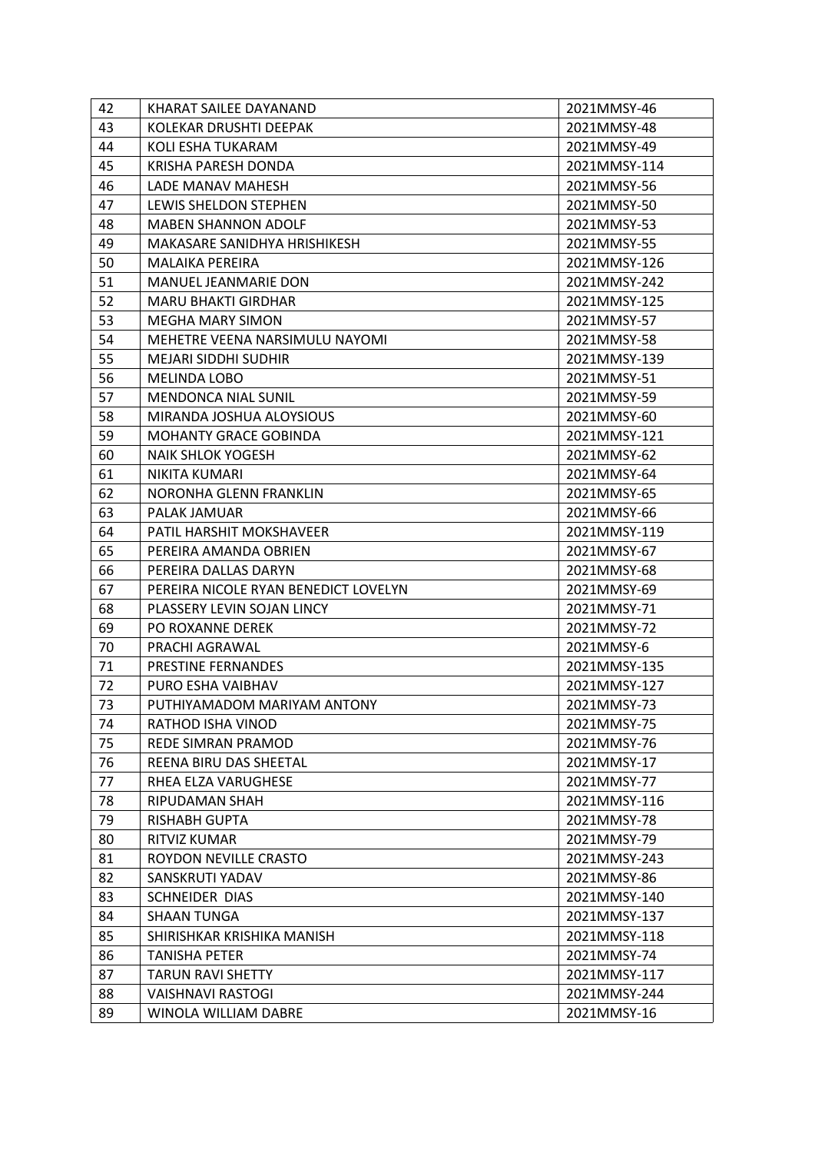| 42 | KHARAT SAILEE DAYANAND               | 2021MMSY-46  |
|----|--------------------------------------|--------------|
| 43 | KOLEKAR DRUSHTI DEEPAK               | 2021MMSY-48  |
| 44 | KOLI ESHA TUKARAM                    | 2021MMSY-49  |
| 45 | KRISHA PARESH DONDA                  | 2021MMSY-114 |
| 46 | LADE MANAV MAHESH                    | 2021MMSY-56  |
| 47 | LEWIS SHELDON STEPHEN                | 2021MMSY-50  |
| 48 | <b>MABEN SHANNON ADOLF</b>           | 2021MMSY-53  |
| 49 | MAKASARE SANIDHYA HRISHIKESH         | 2021MMSY-55  |
| 50 | <b>MALAIKA PEREIRA</b>               | 2021MMSY-126 |
| 51 | <b>MANUEL JEANMARIE DON</b>          | 2021MMSY-242 |
| 52 | <b>MARU BHAKTI GIRDHAR</b>           | 2021MMSY-125 |
| 53 | <b>MEGHA MARY SIMON</b>              | 2021MMSY-57  |
| 54 | MEHETRE VEENA NARSIMULU NAYOMI       | 2021MMSY-58  |
| 55 | <b>MEJARI SIDDHI SUDHIR</b>          | 2021MMSY-139 |
| 56 | <b>MELINDA LOBO</b>                  | 2021MMSY-51  |
| 57 | <b>MENDONCA NIAL SUNIL</b>           | 2021MMSY-59  |
| 58 | MIRANDA JOSHUA ALOYSIOUS             | 2021MMSY-60  |
| 59 | <b>MOHANTY GRACE GOBINDA</b>         | 2021MMSY-121 |
| 60 | <b>NAIK SHLOK YOGESH</b>             | 2021MMSY-62  |
| 61 | NIKITA KUMARI                        | 2021MMSY-64  |
| 62 | NORONHA GLENN FRANKLIN               | 2021MMSY-65  |
| 63 | PALAK JAMUAR                         | 2021MMSY-66  |
| 64 | PATIL HARSHIT MOKSHAVEER             | 2021MMSY-119 |
| 65 | PEREIRA AMANDA OBRIEN                | 2021MMSY-67  |
| 66 | PEREIRA DALLAS DARYN                 | 2021MMSY-68  |
| 67 | PEREIRA NICOLE RYAN BENEDICT LOVELYN | 2021MMSY-69  |
| 68 | PLASSERY LEVIN SOJAN LINCY           | 2021MMSY-71  |
| 69 | <b>PO ROXANNE DEREK</b>              | 2021MMSY-72  |
| 70 | PRACHI AGRAWAL                       | 2021MMSY-6   |
| 71 | PRESTINE FERNANDES                   | 2021MMSY-135 |
| 72 | PURO ESHA VAIBHAV                    | 2021MMSY-127 |
| 73 | PUTHIYAMADOM MARIYAM ANTONY          | 2021MMSY-73  |
| 74 | RATHOD ISHA VINOD                    | 2021MMSY-75  |
| 75 | REDE SIMRAN PRAMOD                   | 2021MMSY-76  |
| 76 | <b>REENA BIRU DAS SHEETAL</b>        | 2021MMSY-17  |
| 77 | RHEA ELZA VARUGHESE                  | 2021MMSY-77  |
| 78 | RIPUDAMAN SHAH                       | 2021MMSY-116 |
| 79 | <b>RISHABH GUPTA</b>                 | 2021MMSY-78  |
| 80 | <b>RITVIZ KUMAR</b>                  | 2021MMSY-79  |
| 81 | ROYDON NEVILLE CRASTO                | 2021MMSY-243 |
| 82 | SANSKRUTI YADAV                      | 2021MMSY-86  |
| 83 | SCHNEIDER DIAS                       | 2021MMSY-140 |
| 84 | <b>SHAAN TUNGA</b>                   | 2021MMSY-137 |
| 85 | SHIRISHKAR KRISHIKA MANISH           | 2021MMSY-118 |
| 86 | <b>TANISHA PETER</b>                 | 2021MMSY-74  |
| 87 | <b>TARUN RAVI SHETTY</b>             | 2021MMSY-117 |
| 88 | <b>VAISHNAVI RASTOGI</b>             | 2021MMSY-244 |
| 89 | <b>WINOLA WILLIAM DABRE</b>          | 2021MMSY-16  |